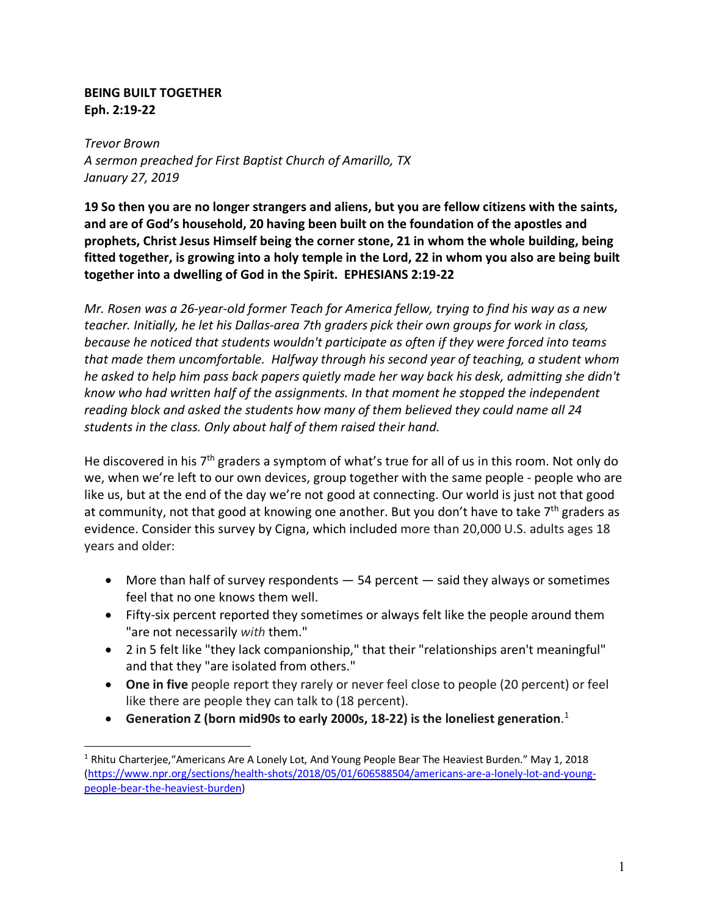## **BEING BUILT TOGETHER Eph. 2:19-22**

*Trevor Brown A sermon preached for First Baptist Church of Amarillo, TX January 27, 2019*

**19 So then you are no longer strangers and aliens, but you are fellow citizens with the saints, and are of God's household, 20 having been built on the foundation of the apostles and prophets, Christ Jesus Himself being the corner stone, 21 in whom the whole building, being fitted together, is growing into a holy temple in the Lord, 22 in whom you also are being built together into a dwelling of God in the Spirit. EPHESIANS 2:19-22**

*Mr. Rosen was a 26-year-old former Teach for America fellow, trying to find his way as a new teacher. Initially, he let his Dallas-area 7th graders pick their own groups for work in class, because he noticed that students wouldn't participate as often if they were forced into teams that made them uncomfortable. Halfway through his second year of teaching, a student whom he asked to help him pass back papers quietly made her way back his desk, admitting she didn't know who had written half of the assignments. In that moment he stopped the independent reading block and asked the students how many of them believed they could name all 24 students in the class. Only about half of them raised their hand.*

He discovered in his 7<sup>th</sup> graders a symptom of what's true for all of us in this room. Not only do we, when we're left to our own devices, group together with the same people - people who are like us, but at the end of the day we're not good at connecting. Our world is just not that good at community, not that good at knowing one another. But you don't have to take 7<sup>th</sup> graders as evidence. Consider this survey by Cigna, which included more than 20,000 U.S. adults ages 18 years and older:

- More than half of survey respondents  $-54$  percent  $-$  said they always or sometimes feel that no one knows them well.
- Fifty-six percent reported they sometimes or always felt like the people around them "are not necessarily *with* them."
- 2 in 5 felt like "they lack companionship," that their "relationships aren't meaningful" and that they "are isolated from others."
- **One in five** people report they rarely or never feel close to people (20 percent) or feel like there are people they can talk to (18 percent).
- **Generation Z (born mid90s to early 2000s, 18-22) is the loneliest generation**. 1

<sup>&</sup>lt;sup>1</sup> Rhitu Charterjee, "Americans Are A Lonely Lot, And Young People Bear The Heaviest Burden." May 1, 2018 (https://www.npr.org/sections/health-shots/2018/05/01/606588504/americans-are-a-lonely-lot-and-youngpeople-bear-the-heaviest-burden)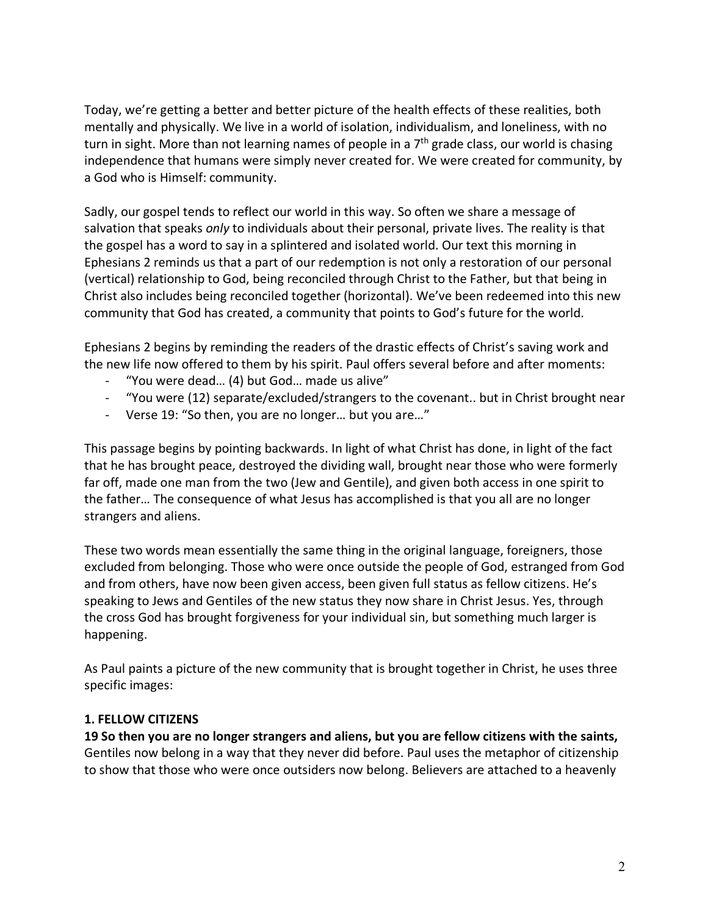Today, we're getting a better and better picture of the health effects of these realities, both mentally and physically. We live in a world of isolation, individualism, and loneliness, with no turn in sight. More than not learning names of people in a  $7<sup>th</sup>$  grade class, our world is chasing independence that humans were simply never created for. We were created for community, by a God who is Himself: community.

Sadly, our gospel tends to reflect our world in this way. So often we share a message of salvation that speaks *only* to individuals about their personal, private lives. The reality is that the gospel has a word to say in a splintered and isolated world. Our text this morning in Ephesians 2 reminds us that a part of our redemption is not only a restoration of our personal (vertical) relationship to God, being reconciled through Christ to the Father, but that being in Christ also includes being reconciled together (horizontal). We've been redeemed into this new community that God has created, a community that points to God's future for the world.

Ephesians 2 begins by reminding the readers of the drastic effects of Christ's saving work and the new life now offered to them by his spirit. Paul offers several before and after moments:

- "You were dead… (4) but God… made us alive"
- "You were (12) separate/excluded/strangers to the covenant.. but in Christ brought near
- Verse 19: "So then, you are no longer… but you are…"

This passage begins by pointing backwards. In light of what Christ has done, in light of the fact that he has brought peace, destroyed the dividing wall, brought near those who were formerly far off, made one man from the two (Jew and Gentile), and given both access in one spirit to the father… The consequence of what Jesus has accomplished is that you all are no longer strangers and aliens.

These two words mean essentially the same thing in the original language, foreigners, those excluded from belonging. Those who were once outside the people of God, estranged from God and from others, have now been given access, been given full status as fellow citizens. He's speaking to Jews and Gentiles of the new status they now share in Christ Jesus. Yes, through the cross God has brought forgiveness for your individual sin, but something much larger is happening.

As Paul paints a picture of the new community that is brought together in Christ, he uses three specific images:

#### **1. FELLOW CITIZENS**

**19 So then you are no longer strangers and aliens, but you are fellow citizens with the saints,** Gentiles now belong in a way that they never did before. Paul uses the metaphor of citizenship to show that those who were once outsiders now belong. Believers are attached to a heavenly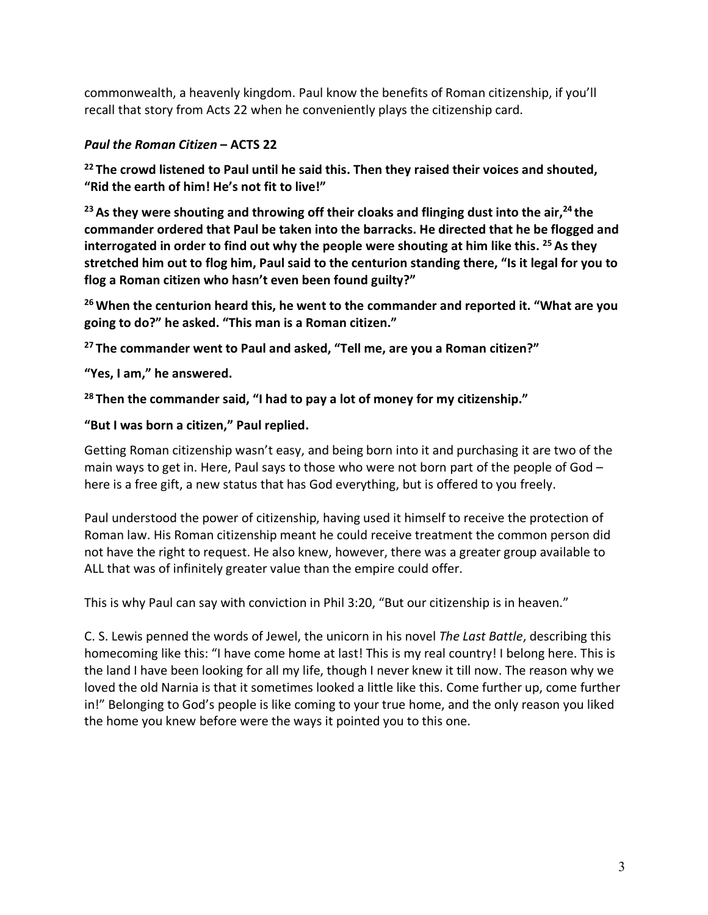commonwealth, a heavenly kingdom. Paul know the benefits of Roman citizenship, if you'll recall that story from Acts 22 when he conveniently plays the citizenship card.

## *Paul the Roman Citizen* **– ACTS 22**

**<sup>22</sup> The crowd listened to Paul until he said this. Then they raised their voices and shouted, "Rid the earth of him! He's not fit to live!"**

<sup>23</sup> As they were shouting and throwing off their cloaks and flinging dust into the air,<sup>24</sup> the **commander ordered that Paul be taken into the barracks. He directed that he be flogged and interrogated in order to find out why the people were shouting at him like this. <sup>25</sup> As they stretched him out to flog him, Paul said to the centurion standing there, "Is it legal for you to flog a Roman citizen who hasn't even been found guilty?"**

**26When the centurion heard this, he went to the commander and reported it. "What are you going to do?" he asked. "This man is a Roman citizen."**

**<sup>27</sup> The commander went to Paul and asked, "Tell me, are you a Roman citizen?"**

**"Yes, I am," he answered.**

### **<sup>28</sup> Then the commander said, "I had to pay a lot of money for my citizenship."**

#### **"But I was born a citizen," Paul replied.**

Getting Roman citizenship wasn't easy, and being born into it and purchasing it are two of the main ways to get in. Here, Paul says to those who were not born part of the people of God – here is a free gift, a new status that has God everything, but is offered to you freely.

Paul understood the power of citizenship, having used it himself to receive the protection of Roman law. His Roman citizenship meant he could receive treatment the common person did not have the right to request. He also knew, however, there was a greater group available to ALL that was of infinitely greater value than the empire could offer.

This is why Paul can say with conviction in Phil 3:20, "But our citizenship is in heaven."

C. S. Lewis penned the words of Jewel, the unicorn in his novel *The Last Battle*, describing this homecoming like this: "I have come home at last! This is my real country! I belong here. This is the land I have been looking for all my life, though I never knew it till now. The reason why we loved the old Narnia is that it sometimes looked a little like this. Come further up, come further in!" Belonging to God's people is like coming to your true home, and the only reason you liked the home you knew before were the ways it pointed you to this one.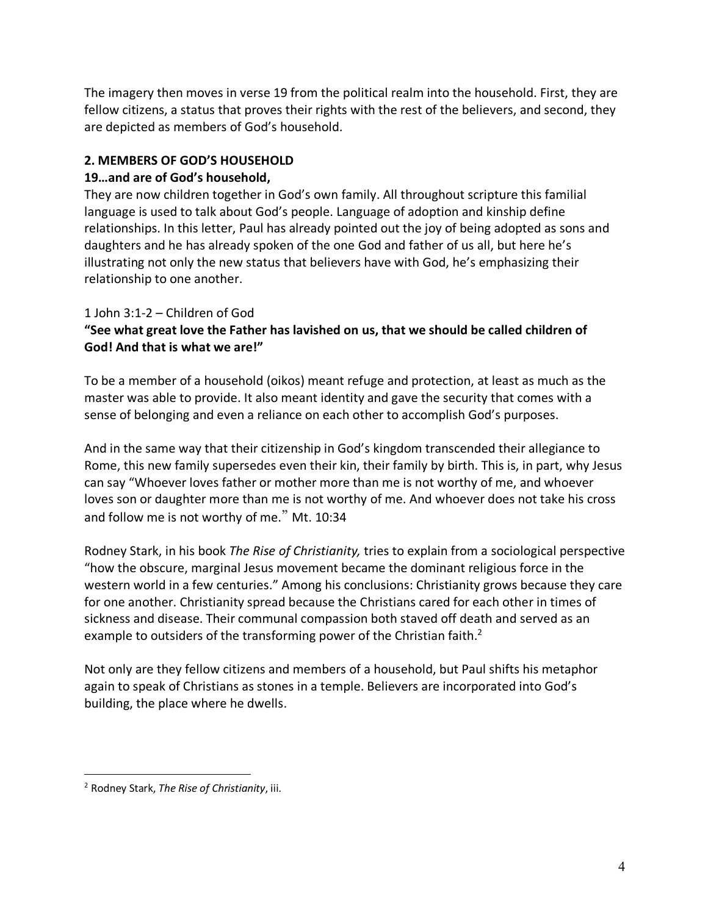The imagery then moves in verse 19 from the political realm into the household. First, they are fellow citizens, a status that proves their rights with the rest of the believers, and second, they are depicted as members of God's household.

## **2. MEMBERS OF GOD'S HOUSEHOLD**

#### **19…and are of God's household,**

They are now children together in God's own family. All throughout scripture this familial language is used to talk about God's people. Language of adoption and kinship define relationships. In this letter, Paul has already pointed out the joy of being adopted as sons and daughters and he has already spoken of the one God and father of us all, but here he's illustrating not only the new status that believers have with God, he's emphasizing their relationship to one another.

### 1 John 3:1-2 – Children of God

# **"See what great love the Father has lavished on us, that we should be called children of God! And that is what we are!"**

To be a member of a household (oikos) meant refuge and protection, at least as much as the master was able to provide. It also meant identity and gave the security that comes with a sense of belonging and even a reliance on each other to accomplish God's purposes.

And in the same way that their citizenship in God's kingdom transcended their allegiance to Rome, this new family supersedes even their kin, their family by birth. This is, in part, why Jesus can say "Whoever loves father or mother more than me is not worthy of me, and whoever loves son or daughter more than me is not worthy of me. And whoever does not take his cross and follow me is not worthy of me." Mt. 10:34

Rodney Stark, in his book *The Rise of Christianity,* tries to explain from a sociological perspective "how the obscure, marginal Jesus movement became the dominant religious force in the western world in a few centuries." Among his conclusions: Christianity grows because they care for one another. Christianity spread because the Christians cared for each other in times of sickness and disease. Their communal compassion both staved off death and served as an example to outsiders of the transforming power of the Christian faith.<sup>2</sup>

Not only are they fellow citizens and members of a household, but Paul shifts his metaphor again to speak of Christians as stones in a temple. Believers are incorporated into God's building, the place where he dwells.

<u>.</u>

<sup>2</sup> Rodney Stark, *The Rise of Christianity*, iii.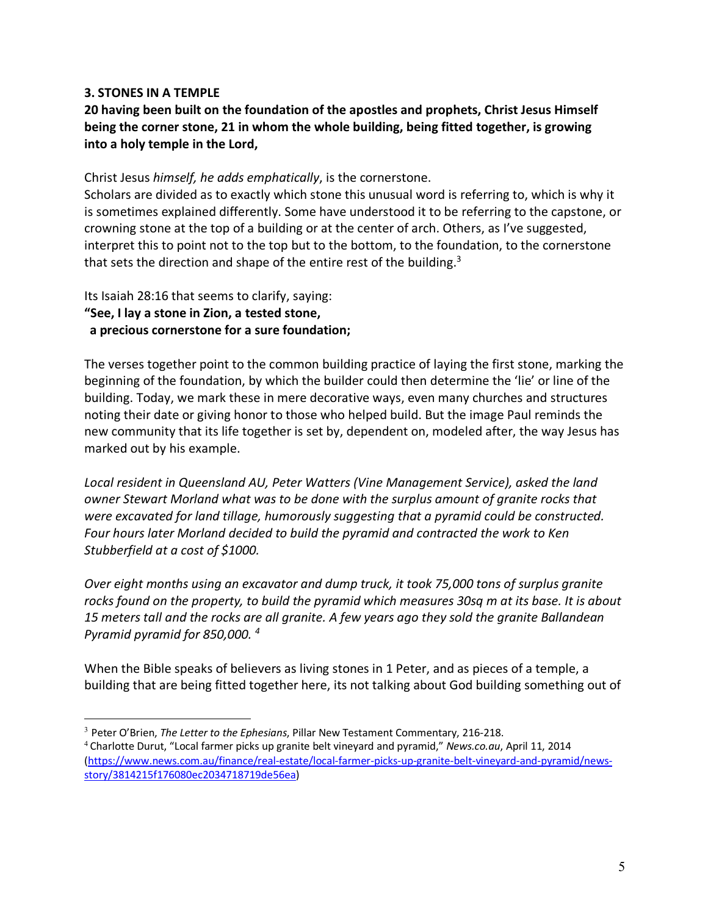#### **3. STONES IN A TEMPLE**

**20 having been built on the foundation of the apostles and prophets, Christ Jesus Himself being the corner stone, 21 in whom the whole building, being fitted together, is growing into a holy temple in the Lord,**

Christ Jesus *himself, he adds emphatically*, is the cornerstone.

Scholars are divided as to exactly which stone this unusual word is referring to, which is why it is sometimes explained differently. Some have understood it to be referring to the capstone, or crowning stone at the top of a building or at the center of arch. Others, as I've suggested, interpret this to point not to the top but to the bottom, to the foundation, to the cornerstone that sets the direction and shape of the entire rest of the building.<sup>3</sup>

# Its Isaiah 28:16 that seems to clarify, saying: **"See, I lay a stone in Zion, a tested stone, a precious cornerstone for a sure foundation;**

The verses together point to the common building practice of laying the first stone, marking the beginning of the foundation, by which the builder could then determine the 'lie' or line of the building. Today, we mark these in mere decorative ways, even many churches and structures noting their date or giving honor to those who helped build. But the image Paul reminds the new community that its life together is set by, dependent on, modeled after, the way Jesus has marked out by his example.

*Local resident in Queensland AU, Peter Watters (Vine Management Service), asked the land owner Stewart Morland what was to be done with the surplus amount of granite rocks that were excavated for land tillage, humorously suggesting that a pyramid could be constructed. Four hours later Morland decided to build the pyramid and contracted the work to Ken Stubberfield at a cost of \$1000.*

*Over eight months using an excavator and dump truck, it took 75,000 tons of surplus granite rocks found on the property, to build the pyramid which measures 30sq m at its base. It is about 15 meters tall and the rocks are all granite. A few years ago they sold the granite Ballandean Pyramid pyramid for 850,000. <sup>4</sup>*

When the Bible speaks of believers as living stones in 1 Peter, and as pieces of a temple, a building that are being fitted together here, its not talking about God building something out of

 <sup>3</sup> Peter O'Brien, *The Letter to the Ephesians*, Pillar New Testament Commentary, 216-218.

<sup>4</sup> Charlotte Durut, "Local farmer picks up granite belt vineyard and pyramid," *News.co.au*, April 11, 2014 (https://www.news.com.au/finance/real-estate/local-farmer-picks-up-granite-belt-vineyard-and-pyramid/newsstory/3814215f176080ec2034718719de56ea)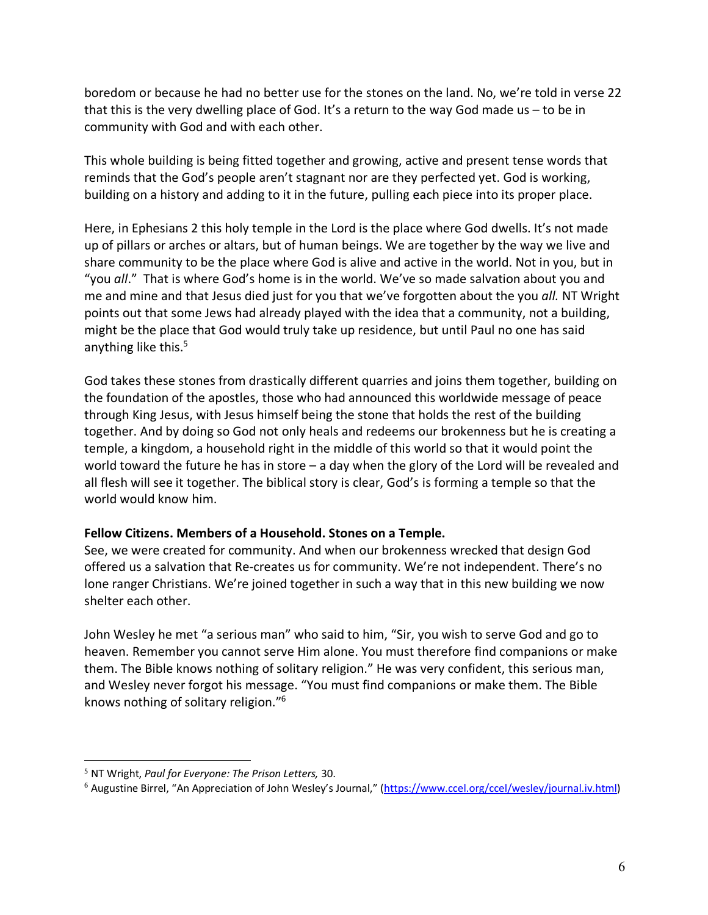boredom or because he had no better use for the stones on the land. No, we're told in verse 22 that this is the very dwelling place of God. It's a return to the way God made us  $-$  to be in community with God and with each other.

This whole building is being fitted together and growing, active and present tense words that reminds that the God's people aren't stagnant nor are they perfected yet. God is working, building on a history and adding to it in the future, pulling each piece into its proper place.

Here, in Ephesians 2 this holy temple in the Lord is the place where God dwells. It's not made up of pillars or arches or altars, but of human beings. We are together by the way we live and share community to be the place where God is alive and active in the world. Not in you, but in "you *all*." That is where God's home is in the world. We've so made salvation about you and me and mine and that Jesus died just for you that we've forgotten about the you *all.* NT Wright points out that some Jews had already played with the idea that a community, not a building, might be the place that God would truly take up residence, but until Paul no one has said anything like this.<sup>5</sup>

God takes these stones from drastically different quarries and joins them together, building on the foundation of the apostles, those who had announced this worldwide message of peace through King Jesus, with Jesus himself being the stone that holds the rest of the building together. And by doing so God not only heals and redeems our brokenness but he is creating a temple, a kingdom, a household right in the middle of this world so that it would point the world toward the future he has in store – a day when the glory of the Lord will be revealed and all flesh will see it together. The biblical story is clear, God's is forming a temple so that the world would know him.

#### **Fellow Citizens. Members of a Household. Stones on a Temple.**

See, we were created for community. And when our brokenness wrecked that design God offered us a salvation that Re-creates us for community. We're not independent. There's no lone ranger Christians. We're joined together in such a way that in this new building we now shelter each other.

John Wesley he met "a serious man" who said to him, "Sir, you wish to serve God and go to heaven. Remember you cannot serve Him alone. You must therefore find companions or make them. The Bible knows nothing of solitary religion." He was very confident, this serious man, and Wesley never forgot his message. "You must find companions or make them. The Bible knows nothing of solitary religion."6

1

<sup>5</sup> NT Wright, *Paul for Everyone: The Prison Letters,* 30.

<sup>&</sup>lt;sup>6</sup> Augustine Birrel, "An Appreciation of John Wesley's Journal," (https://www.ccel.org/ccel/wesley/journal.iv.html)